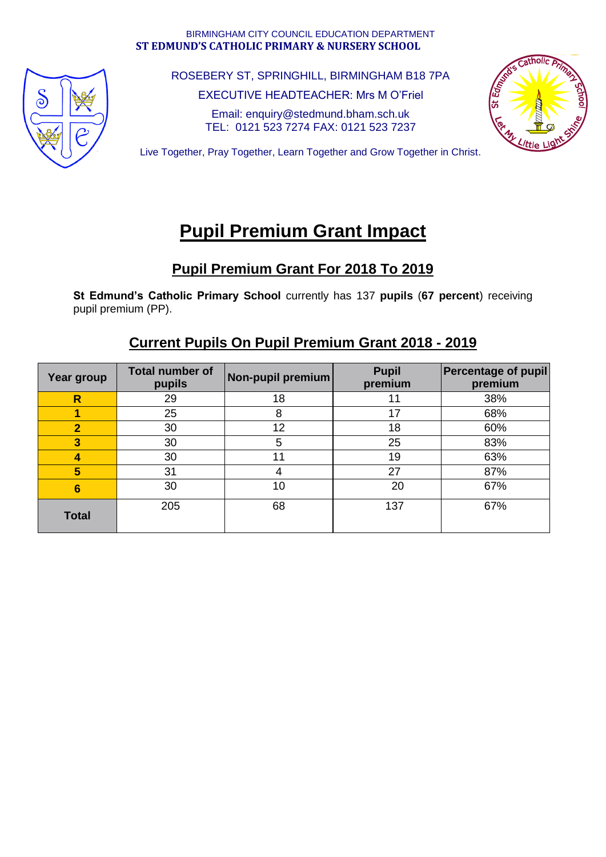#### BIRMINGHAM CITY COUNCIL EDUCATION DEPARTMENT **ST EDMUND'S CATHOLIC PRIMARY & NURSERY SCHOOL**



ROSEBERY ST, SPRINGHILL, BIRMINGHAM B18 7PA

EXECUTIVE HEADTEACHER: Mrs M O'Friel

Email: enquiry@stedmund.bham.sch.uk TEL: 0121 523 7274 FAX: 0121 523 7237



Live Together, Pray Together, Learn Together and Grow Together in Christ.

# **Pupil Premium Grant Impact**

### **Pupil Premium Grant For 2018 To 2019**

**St Edmund's Catholic Primary School** currently has 137 **pupils** (**67 percent**) receiving pupil premium (PP).

### **Current Pupils On Pupil Premium Grant 2018 - 2019**

| Year group              | <b>Total number of</b><br>pupils | Non-pupil premium | <b>Pupil</b><br>premium | <b>Percentage of pupil</b><br>premium |
|-------------------------|----------------------------------|-------------------|-------------------------|---------------------------------------|
| $\overline{\mathsf{R}}$ | 29                               | 18                | 11                      | 38%                                   |
|                         | 25                               | 8                 | 17                      | 68%                                   |
| $\overline{2}$          | 30                               | 12                | 18                      | 60%                                   |
| 3                       | 30                               | 5                 | 25                      | 83%                                   |
| 4                       | 30                               | 11                | 19                      | 63%                                   |
| 5                       | 31                               | 4                 | 27                      | 87%                                   |
| 6                       | 30                               | 10                | 20                      | 67%                                   |
| <b>Total</b>            | 205                              | 68                | 137                     | 67%                                   |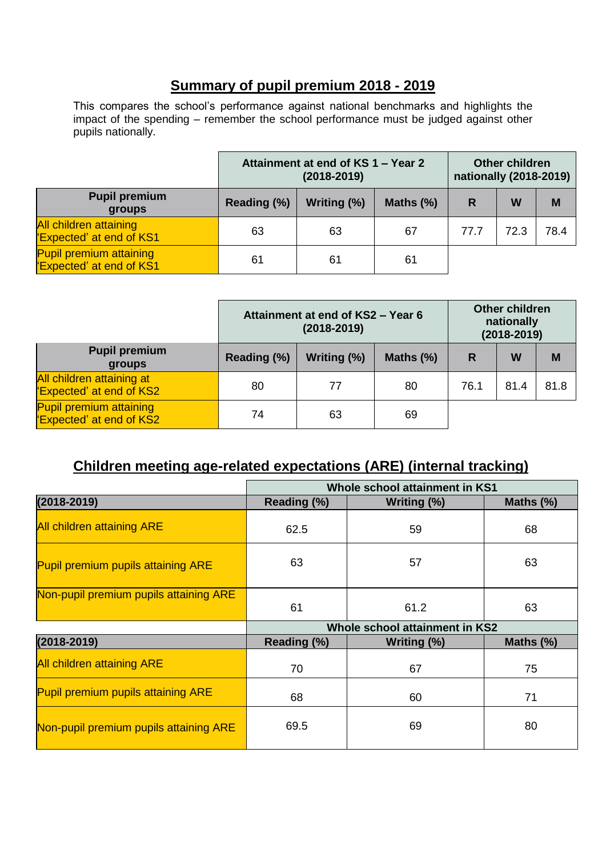#### **Summary of pupil premium 2018 - 2019**

This compares the school's performance against national benchmarks and highlights the impact of the spending – remember the school performance must be judged against other pupils nationally.

|                                                                 | Attainment at end of KS 1 - Year 2<br>$(2018 - 2019)$ |             |              | <b>Other children</b><br>nationally (2018-2019) |      |      |
|-----------------------------------------------------------------|-------------------------------------------------------|-------------|--------------|-------------------------------------------------|------|------|
| <b>Pupil premium</b><br>groups                                  | Reading (%)                                           | Writing (%) | Maths $(\%)$ | R                                               | W    | M    |
| <b>All children attaining</b><br><b>Expected' at end of KS1</b> | 63                                                    | 63          | 67           | 77.7                                            | 72.3 | 78.4 |
| <b>Pupil premium attaining</b><br>'Expected' at end of KS1      | 61                                                    | 61          | 61           |                                                 |      |      |

|                                                                  | Attainment at end of KS2 - Year 6<br>$(2018 - 2019)$ |             |              | <b>Other children</b><br>nationally<br>$(2018 - 2019)$ |      |      |
|------------------------------------------------------------------|------------------------------------------------------|-------------|--------------|--------------------------------------------------------|------|------|
| <b>Pupil premium</b><br>groups                                   | Reading (%)                                          | Writing (%) | Maths $(\%)$ | R                                                      | W    | M    |
| All children attaining at<br>'Expected' at end of KS2            | 80                                                   | 77          | 80           | 76.1                                                   | 81.4 | 81.8 |
| <b>Pupil premium attaining</b><br><b>Expected' at end of KS2</b> | 74                                                   | 63          | 69           |                                                        |      |      |

## **Children meeting age-related expectations (ARE) (internal tracking)**

|                                        | Whole school attainment in KS1 |             |              |  |  |  |
|----------------------------------------|--------------------------------|-------------|--------------|--|--|--|
| $(2018 - 2019)$                        | Reading (%)                    | Writing (%) | Maths (%)    |  |  |  |
| <b>All children attaining ARE</b>      | 62.5                           | 59          | 68           |  |  |  |
| Pupil premium pupils attaining ARE     | 63                             | 57          | 63           |  |  |  |
| Non-pupil premium pupils attaining ARE | 61                             | 61.2        | 63           |  |  |  |
|                                        | Whole school attainment in KS2 |             |              |  |  |  |
| $(2018 - 2019)$                        | Reading (%)                    | Writing (%) | Maths $(\%)$ |  |  |  |
| <b>All children attaining ARE</b>      | 70                             | 67          | 75           |  |  |  |
| Pupil premium pupils attaining ARE     | 68                             | 60          | 71           |  |  |  |
| Non-pupil premium pupils attaining ARE | 69.5                           | 69          | 80           |  |  |  |